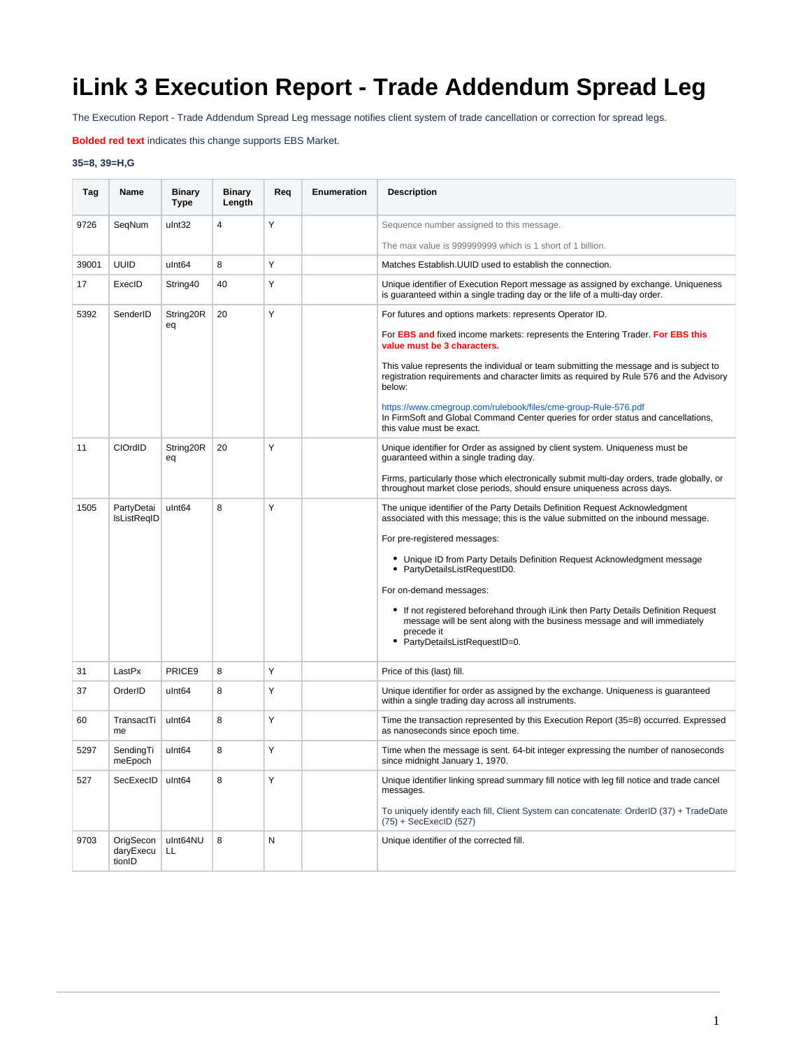## **iLink 3 Execution Report - Trade Addendum Spread Leg**

The Execution Report - Trade Addendum Spread Leg message notifies client system of trade cancellation or correction for spread legs.

**Bolded red text** indicates this change supports EBS Market.

## **35=8, 39=H,G**

| Tag   | Name                             | <b>Binary</b><br>Type | <b>Binary</b><br>Length | Req | <b>Enumeration</b> | <b>Description</b>                                                                                                                                                                                            |
|-------|----------------------------------|-----------------------|-------------------------|-----|--------------------|---------------------------------------------------------------------------------------------------------------------------------------------------------------------------------------------------------------|
| 9726  | SeqNum                           | ulnt32                | 4                       | Υ   |                    | Sequence number assigned to this message.                                                                                                                                                                     |
|       |                                  |                       |                         |     |                    | The max value is 999999999 which is 1 short of 1 billion.                                                                                                                                                     |
| 39001 | <b>UUID</b>                      | ulnt <sub>64</sub>    | 8                       | Υ   |                    | Matches Establish. UUID used to establish the connection.                                                                                                                                                     |
| 17    | ExecID                           | String40              | 40                      | Y   |                    | Unique identifier of Execution Report message as assigned by exchange. Uniqueness<br>is quaranteed within a single trading day or the life of a multi-day order.                                              |
| 5392  | SenderID                         | String20R<br>eq       | 20                      | Υ   |                    | For futures and options markets: represents Operator ID.                                                                                                                                                      |
|       |                                  |                       |                         |     |                    | For <b>EBS and</b> fixed income markets: represents the Entering Trader. For EBS this<br>value must be 3 characters.                                                                                          |
|       |                                  |                       |                         |     |                    | This value represents the individual or team submitting the message and is subject to<br>registration requirements and character limits as required by Rule 576 and the Advisory<br>below:                    |
|       |                                  |                       |                         |     |                    | https://www.cmegroup.com/rulebook/files/cme-group-Rule-576.pdf<br>In FirmSoft and Global Command Center queries for order status and cancellations,<br>this value must be exact.                              |
| 11    | CIOrdID                          | String20R<br>eq       | 20                      | Y   |                    | Unique identifier for Order as assigned by client system. Uniqueness must be<br>quaranteed within a single trading day.                                                                                       |
|       |                                  |                       |                         |     |                    | Firms, particularly those which electronically submit multi-day orders, trade globally, or<br>throughout market close periods, should ensure uniqueness across days.                                          |
| 1505  | PartyDetai<br>IsListRegID        | ulnt <sub>64</sub>    | 8                       | Y   |                    | The unique identifier of the Party Details Definition Request Acknowledgment<br>associated with this message; this is the value submitted on the inbound message.                                             |
|       |                                  |                       |                         |     |                    | For pre-registered messages:                                                                                                                                                                                  |
|       |                                  |                       |                         |     |                    | • Unique ID from Party Details Definition Request Acknowledgment message<br>• PartyDetailsListRequestID0.                                                                                                     |
|       |                                  |                       |                         |     |                    | For on-demand messages:                                                                                                                                                                                       |
|       |                                  |                       |                         |     |                    | • If not registered beforehand through iLink then Party Details Definition Request<br>message will be sent along with the business message and will immediately<br>precede it<br>PartyDetailsListRequestID=0. |
| 31    | LastPx                           | PRICE9                | 8                       | Υ   |                    | Price of this (last) fill.                                                                                                                                                                                    |
| 37    | OrderID                          | ulnt <sub>64</sub>    | 8                       | Y   |                    | Unique identifier for order as assigned by the exchange. Uniqueness is guaranteed<br>within a single trading day across all instruments.                                                                      |
| 60    | TransactTi<br>me                 | ulnt <sub>64</sub>    | 8                       | Y   |                    | Time the transaction represented by this Execution Report (35=8) occurred. Expressed<br>as nanoseconds since epoch time.                                                                                      |
| 5297  | SendingTi<br>meEpoch             | ulnt <sub>64</sub>    | 8                       | Υ   |                    | Time when the message is sent. 64-bit integer expressing the number of nanoseconds<br>since midnight January 1, 1970.                                                                                         |
| 527   | SecExecID                        | ulnt <sub>64</sub>    | 8                       | Υ   |                    | Unique identifier linking spread summary fill notice with leg fill notice and trade cancel<br>messages.                                                                                                       |
|       |                                  |                       |                         |     |                    | To uniquely identify each fill, Client System can concatenate: OrderID (37) + TradeDate<br>$(75) + SecExecID (527)$                                                                                           |
| 9703  | OrigSecon<br>daryExecu<br>tionID | ulnt64NU<br>LL        | 8                       | N   |                    | Unique identifier of the corrected fill.                                                                                                                                                                      |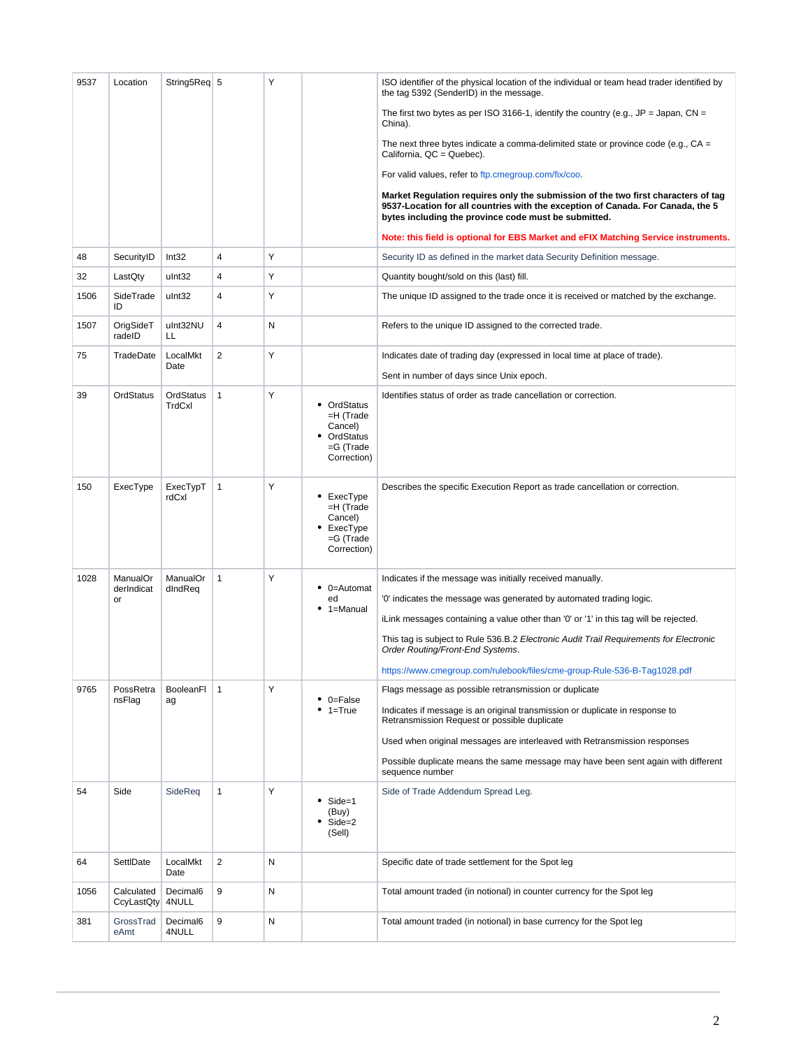| 9537 | Location                     | String5Req 5        |                | Y |                                                                                    | ISO identifier of the physical location of the individual or team head trader identified by<br>the tag 5392 (SenderID) in the message.                                                                                                                                                                                                                                                                                              |
|------|------------------------------|---------------------|----------------|---|------------------------------------------------------------------------------------|-------------------------------------------------------------------------------------------------------------------------------------------------------------------------------------------------------------------------------------------------------------------------------------------------------------------------------------------------------------------------------------------------------------------------------------|
|      |                              |                     |                |   |                                                                                    | The first two bytes as per ISO 3166-1, identify the country (e.g., JP = Japan, CN =<br>China).                                                                                                                                                                                                                                                                                                                                      |
|      |                              |                     |                |   |                                                                                    | The next three bytes indicate a comma-delimited state or province code (e.g., $CA =$<br>California, QC = Quebec).                                                                                                                                                                                                                                                                                                                   |
|      |                              |                     |                |   |                                                                                    | For valid values, refer to ftp.cmegroup.com/fix/coo.                                                                                                                                                                                                                                                                                                                                                                                |
|      |                              |                     |                |   |                                                                                    | Market Regulation requires only the submission of the two first characters of tag<br>9537-Location for all countries with the exception of Canada. For Canada, the 5<br>bytes including the province code must be submitted.                                                                                                                                                                                                        |
|      |                              |                     |                |   |                                                                                    | Note: this field is optional for EBS Market and eFIX Matching Service instruments.                                                                                                                                                                                                                                                                                                                                                  |
| 48   | SecurityID                   | Int32               | $\overline{4}$ | Y |                                                                                    | Security ID as defined in the market data Security Definition message.                                                                                                                                                                                                                                                                                                                                                              |
| 32   | LastQty                      | ulnt32              | $\overline{4}$ | Y |                                                                                    | Quantity bought/sold on this (last) fill.                                                                                                                                                                                                                                                                                                                                                                                           |
| 1506 | SideTrade<br>ID              | ulnt32              | $\overline{4}$ | Υ |                                                                                    | The unique ID assigned to the trade once it is received or matched by the exchange.                                                                                                                                                                                                                                                                                                                                                 |
| 1507 | OrigSideT<br>radeID          | ulnt32NU<br>LL      | $\overline{4}$ | Ν |                                                                                    | Refers to the unique ID assigned to the corrected trade.                                                                                                                                                                                                                                                                                                                                                                            |
| 75   | TradeDate                    | LocalMkt<br>Date    | $\overline{2}$ | Υ |                                                                                    | Indicates date of trading day (expressed in local time at place of trade).                                                                                                                                                                                                                                                                                                                                                          |
|      |                              |                     |                |   |                                                                                    | Sent in number of days since Unix epoch.                                                                                                                                                                                                                                                                                                                                                                                            |
| 39   | OrdStatus                    | OrdStatus<br>TrdCxl | $\mathbf{1}$   | Y | • OrdStatus<br>$=$ H (Trade<br>Cancel)<br>OrdStatus<br>$=$ G (Trade<br>Correction) | Identifies status of order as trade cancellation or correction.                                                                                                                                                                                                                                                                                                                                                                     |
| 150  | ExecType                     | ExecTypT<br>rdCxl   | $\mathbf{1}$   | Y | ExecType<br>$=$ H (Trade<br>Cancel)<br>• ExecType<br>$=G$ (Trade<br>Correction)    | Describes the specific Execution Report as trade cancellation or correction.                                                                                                                                                                                                                                                                                                                                                        |
| 1028 | ManualOr<br>derIndicat<br>or | ManualOr<br>dIndReq | $\mathbf{1}$   | Y | 0=Automat<br>ed<br>1=Manual                                                        | Indicates if the message was initially received manually.<br>'0' indicates the message was generated by automated trading logic.<br>iLink messages containing a value other than '0' or '1' in this tag will be rejected.<br>This tag is subject to Rule 536.B.2 Electronic Audit Trail Requirements for Electronic<br>Order Routing/Front-End Systems.<br>https://www.cmegroup.com/rulebook/files/cme-group-Rule-536-B-Tag1028.pdf |
| 9765 | PossRetra<br>nsFlag          | BooleanFl<br>ag     | $\mathbf{1}$   | Υ | 0=False<br>1=True                                                                  | Flags message as possible retransmission or duplicate<br>Indicates if message is an original transmission or duplicate in response to<br>Retransmission Request or possible duplicate<br>Used when original messages are interleaved with Retransmission responses<br>Possible duplicate means the same message may have been sent again with different<br>sequence number                                                          |
| 54   | Side                         | SideReq             | $\mathbf{1}$   | Υ | Side=1<br>(Buy)<br>$Side = 2$<br>(Sell)                                            | Side of Trade Addendum Spread Leg.                                                                                                                                                                                                                                                                                                                                                                                                  |
| 64   | SettlDate                    | LocalMkt<br>Date    | $\overline{2}$ | Ν |                                                                                    | Specific date of trade settlement for the Spot leg                                                                                                                                                                                                                                                                                                                                                                                  |
| 1056 | Calculated<br>CcyLastQty     | Decimal6<br>4NULL   | 9              | Ν |                                                                                    | Total amount traded (in notional) in counter currency for the Spot leg                                                                                                                                                                                                                                                                                                                                                              |
| 381  | GrossTrad<br>eAmt            | Decimal6<br>4NULL   | 9              | Ν |                                                                                    | Total amount traded (in notional) in base currency for the Spot leg                                                                                                                                                                                                                                                                                                                                                                 |